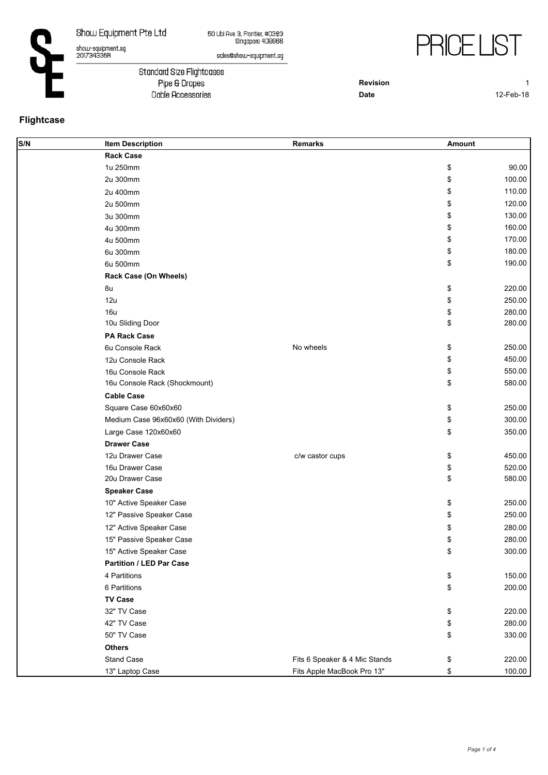show-equipment.sg<br>201734336R

50 Ubi Ave 3, Frontier, #0323<br>Singapore 408866



sales@show-equipment.sg

Standard Size Flightcases Pipe & Drapes Cable Accessories

**Revision** 1

**Date** 12-Feb-18

## **Flightcase**

| S/N | <b>Item Description</b>              | Remarks                       | Amount |        |
|-----|--------------------------------------|-------------------------------|--------|--------|
|     | <b>Rack Case</b>                     |                               |        |        |
|     | 1u 250mm                             |                               | \$     | 90.00  |
|     | 2u 300mm                             |                               | \$     | 100.00 |
|     | 2u 400mm                             |                               | \$     | 110.00 |
|     | 2u 500mm                             |                               | \$     | 120.00 |
|     | 3u 300mm                             |                               | \$     | 130.00 |
|     | 4u 300mm                             |                               | \$     | 160.00 |
|     | 4u 500mm                             |                               | \$     | 170.00 |
|     | 6u 300mm                             |                               | \$     | 180.00 |
|     | 6u 500mm                             |                               | \$     | 190.00 |
|     | Rack Case (On Wheels)                |                               |        |        |
|     | 8u                                   |                               | \$     | 220.00 |
|     | 12u                                  |                               | \$     | 250.00 |
|     | <b>16u</b>                           |                               | \$     | 280.00 |
|     | 10u Sliding Door                     |                               | \$     | 280.00 |
|     | <b>PA Rack Case</b>                  |                               |        |        |
|     | 6u Console Rack                      | No wheels                     | \$     | 250.00 |
|     | 12u Console Rack                     |                               | \$     | 450.00 |
|     | 16u Console Rack                     |                               | \$     | 550.00 |
|     | 16u Console Rack (Shockmount)        |                               | \$     | 580.00 |
|     | <b>Cable Case</b>                    |                               |        |        |
|     | Square Case 60x60x60                 |                               | \$     | 250.00 |
|     | Medium Case 96x60x60 (With Dividers) |                               | \$     | 300.00 |
|     | Large Case 120x60x60                 |                               | \$     | 350.00 |
|     | <b>Drawer Case</b>                   |                               |        |        |
|     | 12u Drawer Case                      | c/w castor cups               | \$     | 450.00 |
|     | 16u Drawer Case                      |                               | \$     | 520.00 |
|     | 20u Drawer Case                      |                               | \$     | 580.00 |
|     | <b>Speaker Case</b>                  |                               |        |        |
|     | 10" Active Speaker Case              |                               | \$     | 250.00 |
|     | 12" Passive Speaker Case             |                               | \$     | 250.00 |
|     | 12" Active Speaker Case              |                               | \$     | 280.00 |
|     | 15" Passive Speaker Case             |                               | \$     | 280.00 |
|     | 15" Active Speaker Case              |                               | \$     | 300.00 |
|     | <b>Partition / LED Par Case</b>      |                               |        |        |
|     | 4 Partitions                         |                               | \$     | 150.00 |
|     | 6 Partitions                         |                               | \$     | 200.00 |
|     | <b>TV Case</b>                       |                               |        |        |
|     | 32" TV Case                          |                               | \$     | 220.00 |
|     | 42" TV Case                          |                               | \$     | 280.00 |
|     | 50" TV Case                          |                               | \$     | 330.00 |
|     | <b>Others</b>                        |                               |        |        |
|     | Stand Case                           | Fits 6 Speaker & 4 Mic Stands | \$     | 220.00 |
|     | 13" Laptop Case                      | Fits Apple MacBook Pro 13"    | \$     | 100.00 |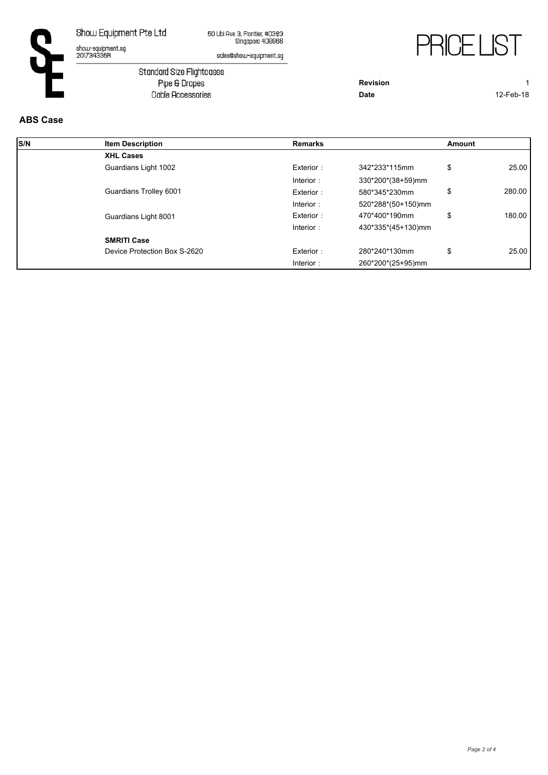show-equipment.sg<br>201734336R

50 Ubi Ave 3, Frontier, #0323<br>Singapore 408866



sales@show-equipment.sg

Standard Size Flightcases<br>Pipe & Drapes Cable Accessories

**Revision** 1 **Date** 12-Feb-18

## **ABS Case**

| S/N | <b>Item Description</b>      | <b>Remarks</b> |                    | Amount |        |
|-----|------------------------------|----------------|--------------------|--------|--------|
|     | <b>XHL Cases</b>             |                |                    |        |        |
|     | Guardians Light 1002         | Exterior:      | 342*233*115mm      | \$     | 25.00  |
|     |                              | Interior:      | 330*200*(38+59)mm  |        |        |
|     | Guardians Trolley 6001       | Exterior:      | 580*345*230mm      | \$     | 280.00 |
|     |                              | Interior:      | 520*288*(50+150)mm |        |        |
|     | Guardians Light 8001         | Exterior:      | 470*400*190mm      | \$     | 180.00 |
|     |                              | Interior:      | 430*335*(45+130)mm |        |        |
|     | <b>SMRITI Case</b>           |                |                    |        |        |
|     | Device Protection Box S-2620 | Exterior:      | 280*240*130mm      | \$     | 25.00  |
|     |                              | Interior:      | 260*200*(25+95)mm  |        |        |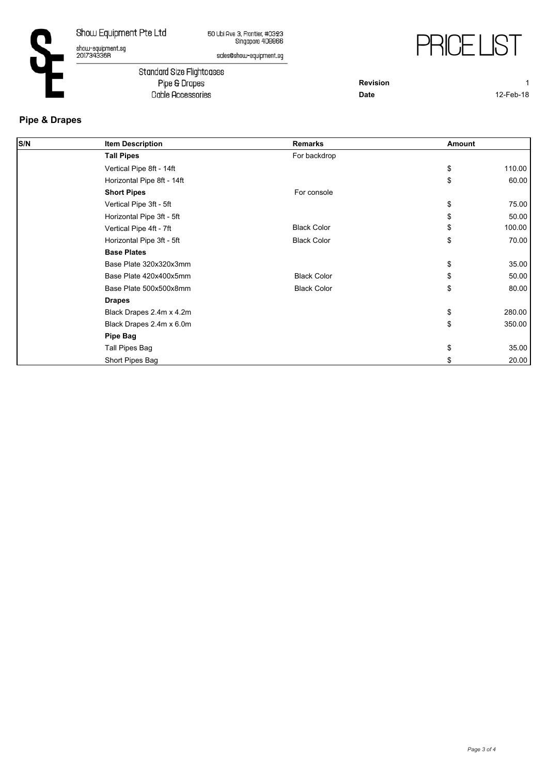show-equipment.sg<br>201734336R

50 Ubi Ave 3, Frontier, #0323<br>Singapore 408866



sales@show-equipment.sg

Standard Size Flightcases Pipe & Drapes Cable Accessories

**Revision** 1

**Date** 12-Feb-18

## **Pipe & Drapes**

| S/N | <b>Item Description</b>    | <b>Remarks</b>     | Amount |        |
|-----|----------------------------|--------------------|--------|--------|
|     | <b>Tall Pipes</b>          | For backdrop       |        |        |
|     | Vertical Pipe 8ft - 14ft   |                    | \$     | 110.00 |
|     | Horizontal Pipe 8ft - 14ft |                    | \$     | 60.00  |
|     | <b>Short Pipes</b>         | For console        |        |        |
|     | Vertical Pipe 3ft - 5ft    |                    | \$     | 75.00  |
|     | Horizontal Pipe 3ft - 5ft  |                    | \$     | 50.00  |
|     | Vertical Pipe 4ft - 7ft    | <b>Black Color</b> | \$     | 100.00 |
|     | Horizontal Pipe 3ft - 5ft  | <b>Black Color</b> | \$     | 70.00  |
|     | <b>Base Plates</b>         |                    |        |        |
|     | Base Plate 320x320x3mm     |                    | \$     | 35.00  |
|     | Base Plate 420x400x5mm     | <b>Black Color</b> | \$     | 50.00  |
|     | Base Plate 500x500x8mm     | <b>Black Color</b> | \$     | 80.00  |
|     | <b>Drapes</b>              |                    |        |        |
|     | Black Drapes 2.4m x 4.2m   |                    | \$     | 280.00 |
|     | Black Drapes 2.4m x 6.0m   |                    | \$     | 350.00 |
|     | <b>Pipe Bag</b>            |                    |        |        |
|     | Tall Pipes Bag             |                    | \$     | 35.00  |
|     | Short Pipes Bag            |                    |        | 20.00  |